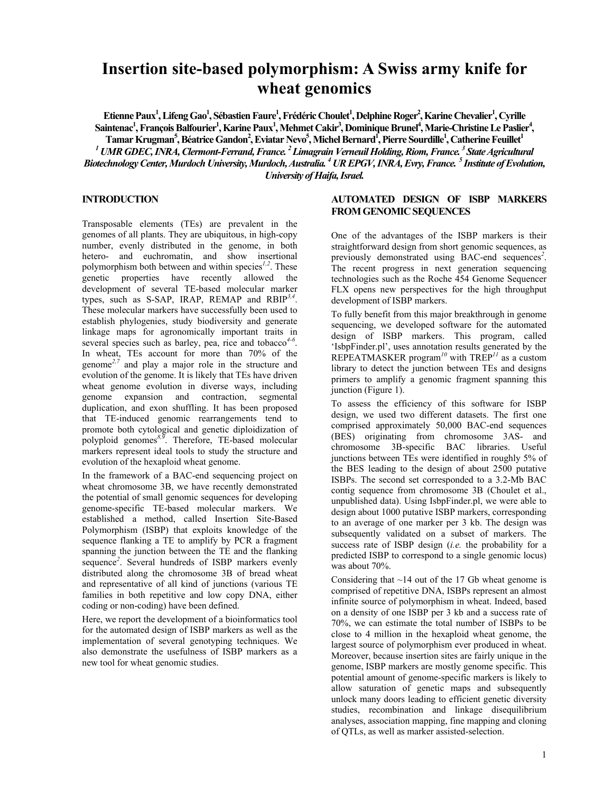# **Insertion site-based polymorphism: A Swiss army knife for wheat genomics**

 $\bf{E}$ tienne Paux<sup>1</sup>, Lifeng Gao<sup>1</sup>, Sébastien Faure<sup>1</sup>, Frédéric Choulet<sup>1</sup>, Delphine Roger<sup>2</sup>, Karine Chevalier<sup>1</sup>, Cyrille Saintenac<sup>1</sup>, François Balfourier<sup>1</sup>, Karine Paux<sup>1</sup>, Mehmet Cakir<sup>3</sup>, Dominique Brunel<sup>4</sup>, Marie-Christine Le Paslier<sup>4</sup>,  $\Gamma$ amar Krugman<sup>5</sup>, Béatrice Gandon<sup>2</sup>, Eviatar Nevo<sup>5</sup>, Michel Bernard<sup>1</sup>, Pierre Sourdille<sup>1</sup>, Catherine Feuillet<sup>1</sup>

*1 UMR GDEC, INRA, Clermont-Ferrand, France. 2 Limagrain Verneuil Holding, Riom, France. 3 State Agricultural Biotechnology Center, Murdoch University, Murdoch, Australia. 4 UR EPGV, INRA, Evry, France. 5 Institute of Evolution, University of Haifa, Israel.* 

### **INTRODUCTION**

Transposable elements (TEs) are prevalent in the genomes of all plants. They are ubiquitous, in high-copy number, evenly distributed in the genome, in both hetero- and euchromatin, and show insertional polymorphism both between and within species*1,2*. These genetic properties have recently allowed the development of several TE-based molecular marker types, such as S-SAP, IRAP, REMAP and RBIP*3,4*. These molecular markers have successfully been used to establish phylogenies, study biodiversity and generate linkage maps for agronomically important traits in several species such as barley, pea, rice and tobacco*4-6*. In wheat, TEs account for more than 70% of the genome*2,7* and play a major role in the structure and evolution of the genome. It is likely that TEs have driven wheat genome evolution in diverse ways, including genome expansion and contraction, segmental duplication, and exon shuffling. It has been proposed that TE-induced genomic rearrangements tend to promote both cytological and genetic diploidization of polyploid genomes*8,9*. Therefore, TE-based molecular markers represent ideal tools to study the structure and evolution of the hexaploid wheat genome.

In the framework of a BAC-end sequencing project on wheat chromosome 3B, we have recently demonstrated the potential of small genomic sequences for developing genome-specific TE-based molecular markers. We established a method, called Insertion Site-Based Polymorphism (ISBP) that exploits knowledge of the sequence flanking a TE to amplify by PCR a fragment spanning the junction between the TE and the flanking sequence<sup>2</sup>. Several hundreds of ISBP markers evenly distributed along the chromosome 3B of bread wheat and representative of all kind of junctions (various TE families in both repetitive and low copy DNA, either coding or non-coding) have been defined.

Here, we report the development of a bioinformatics tool for the automated design of ISBP markers as well as the implementation of several genotyping techniques. We also demonstrate the usefulness of ISBP markers as a new tool for wheat genomic studies.

# **AUTOMATED DESIGN OF ISBP MARKERS FROM GENOMIC SEQUENCES**

One of the advantages of the ISBP markers is their straightforward design from short genomic sequences, as previously demonstrated using BAC-end sequences*<sup>2</sup>* . The recent progress in next generation sequencing technologies such as the Roche 454 Genome Sequencer FLX opens new perspectives for the high throughput development of ISBP markers.

To fully benefit from this major breakthrough in genome sequencing, we developed software for the automated design of ISBP markers. This program, called 'IsbpFinder.pl', uses annotation results generated by the REPEATMASKER program*<sup>10</sup>* with TREP*<sup>11</sup>* as a custom library to detect the junction between TEs and designs primers to amplify a genomic fragment spanning this junction (Figure 1).

To assess the efficiency of this software for ISBP design, we used two different datasets. The first one comprised approximately 50,000 BAC-end sequences (BES) originating from chromosome 3AS- and chromosome 3B-specific BAC libraries. Useful junctions between TEs were identified in roughly 5% of the BES leading to the design of about 2500 putative ISBPs. The second set corresponded to a 3.2-Mb BAC contig sequence from chromosome 3B (Choulet et al., unpublished data). Using IsbpFinder.pl, we were able to design about 1000 putative ISBP markers, corresponding to an average of one marker per 3 kb. The design was subsequently validated on a subset of markers. The success rate of ISBP design (*i.e.* the probability for a predicted ISBP to correspond to a single genomic locus) was about 70%.

Considering that  $\sim$ 14 out of the 17 Gb wheat genome is comprised of repetitive DNA, ISBPs represent an almost infinite source of polymorphism in wheat. Indeed, based on a density of one ISBP per 3 kb and a success rate of 70%, we can estimate the total number of ISBPs to be close to 4 million in the hexaploid wheat genome, the largest source of polymorphism ever produced in wheat. Moreover, because insertion sites are fairly unique in the genome, ISBP markers are mostly genome specific. This potential amount of genome-specific markers is likely to allow saturation of genetic maps and subsequently unlock many doors leading to efficient genetic diversity studies, recombination and linkage disequilibrium analyses, association mapping, fine mapping and cloning of QTLs, as well as marker assisted-selection.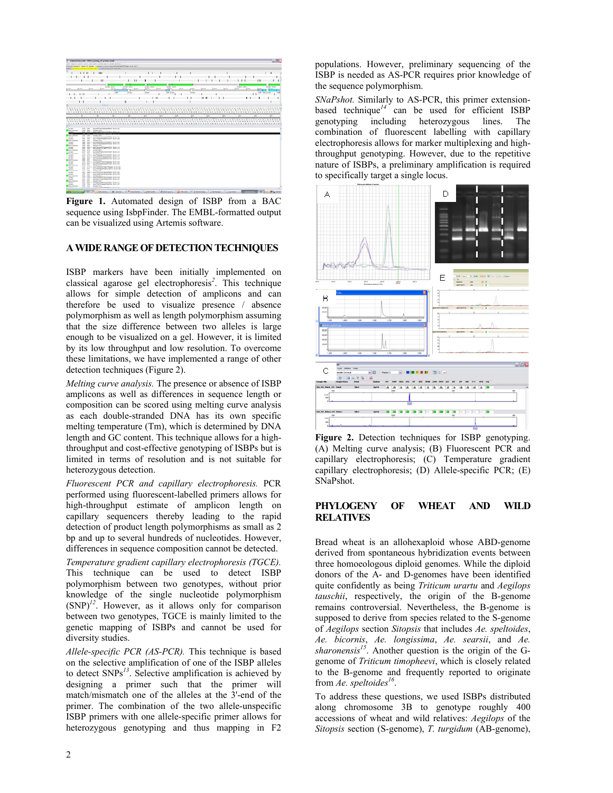|                                                                                                                                                                                                                                                                                                                                                                                                                                                                                                                                                                                                                     |                   |                               | T. Artwood Board Edit: 199911, County, AT primary and                |         |                                    |                           |           |                   |              |                                   |   |              |                                          |              |         |   |             |                          |          |                |      |                            | $-28$                       |
|---------------------------------------------------------------------------------------------------------------------------------------------------------------------------------------------------------------------------------------------------------------------------------------------------------------------------------------------------------------------------------------------------------------------------------------------------------------------------------------------------------------------------------------------------------------------------------------------------------------------|-------------------|-------------------------------|----------------------------------------------------------------------|---------|------------------------------------|---------------------------|-----------|-------------------|--------------|-----------------------------------|---|--------------|------------------------------------------|--------------|---------|---|-------------|--------------------------|----------|----------------|------|----------------------------|-----------------------------|
| frie fatten jones feet and join frees from feet drains.<br>Business Stations, Search M. Arranty, Lightwood Association entropy buildings for 18 AM                                                                                                                                                                                                                                                                                                                                                                                                                                                                  |                   |                               |                                                                      |         |                                    |                           |           |                   |              |                                   |   |              |                                          |              |         |   |             |                          |          |                |      |                            |                             |
| Gold a meet hang in presented a statut move of the call                                                                                                                                                                                                                                                                                                                                                                                                                                                                                                                                                             |                   |                               |                                                                      |         |                                    |                           |           |                   |              |                                   |   |              |                                          |              |         |   |             |                          |          |                |      |                            |                             |
|                                                                                                                                                                                                                                                                                                                                                                                                                                                                                                                                                                                                                     | $1 + 11$          |                               | $-1011$<br>--                                                        |         |                                    |                           |           |                   |              |                                   |   |              |                                          |              |         |   |             |                          |          |                |      | $1 - 11$                   |                             |
|                                                                                                                                                                                                                                                                                                                                                                                                                                                                                                                                                                                                                     |                   |                               |                                                                      |         |                                    |                           |           |                   |              |                                   |   |              |                                          |              |         |   |             |                          |          |                |      |                            |                             |
|                                                                                                                                                                                                                                                                                                                                                                                                                                                                                                                                                                                                                     |                   |                               |                                                                      |         |                                    |                           |           |                   |              |                                   |   |              |                                          |              |         |   |             |                          |          |                |      |                            |                             |
|                                                                                                                                                                                                                                                                                                                                                                                                                                                                                                                                                                                                                     |                   |                               |                                                                      |         |                                    |                           |           |                   |              | . .                               |   |              |                                          |              |         |   |             |                          |          |                |      |                            |                             |
|                                                                                                                                                                                                                                                                                                                                                                                                                                                                                                                                                                                                                     | $1 - 4 = 1$       | <b>System</b>                 |                                                                      | $1 - 1$ | <b>SHARR STARR</b><br><b>COLOR</b> | <b>All reals consider</b> | $1 - 1$   | grown score       | 1400         | planet grant                      |   | <b>STATE</b> |                                          | <b>Lease</b> | $1 - 1$ |   | $1 + 1 = 1$ | Arrest state<br>$-0.000$ | $1 - 1$  |                |      |                            | proper terms                |
|                                                                                                                                                                                                                                                                                                                                                                                                                                                                                                                                                                                                                     |                   |                               |                                                                      |         | ÷<br>$\frac{1}{2}$                 | a.<br><b>SCHOOL</b>       |           | æ<br><b>STORY</b> |              | ali5<br>LOW of the                |   |              | м<br><b>PLANE</b>                        |              |         |   |             |                          |          |                | --   | can be plant               | .and                        |
|                                                                                                                                                                                                                                                                                                                                                                                                                                                                                                                                                                                                                     | 111               |                               |                                                                      |         |                                    |                           |           |                   |              |                                   |   |              |                                          |              |         |   |             |                          |          | 11             |      | and the state of the first |                             |
|                                                                                                                                                                                                                                                                                                                                                                                                                                                                                                                                                                                                                     |                   |                               |                                                                      |         |                                    |                           |           |                   | $\mathbf{u}$ |                                   |   |              |                                          | <b>HH</b>    |         | ٠ |             |                          | $\cdots$ |                |      |                            |                             |
|                                                                                                                                                                                                                                                                                                                                                                                                                                                                                                                                                                                                                     |                   |                               |                                                                      |         |                                    | в                         |           |                   |              |                                   |   |              |                                          |              |         |   |             |                          |          |                |      |                            |                             |
|                                                                                                                                                                                                                                                                                                                                                                                                                                                                                                                                                                                                                     |                   |                               |                                                                      | $\Box$  |                                    |                           |           |                   |              |                                   |   |              |                                          |              |         |   |             |                          |          |                |      |                            |                             |
|                                                                                                                                                                                                                                                                                                                                                                                                                                                                                                                                                                                                                     |                   |                               |                                                                      |         |                                    |                           |           |                   |              |                                   |   |              |                                          |              |         |   |             |                          |          |                |      |                            |                             |
| ***************************                                                                                                                                                                                                                                                                                                                                                                                                                                                                                                                                                                                         |                   |                               |                                                                      |         |                                    |                           |           |                   |              |                                   |   |              | <b>*********************************</b> |              |         |   |             |                          |          |                |      |                            | *************************** |
|                                                                                                                                                                                                                                                                                                                                                                                                                                                                                                                                                                                                                     |                   |                               |                                                                      |         |                                    | ÷                         |           | m                 | m            |                                   | × |              |                                          | m            |         |   | ÷           | ÷                        |          |                | los: |                            |                             |
|                                                                                                                                                                                                                                                                                                                                                                                                                                                                                                                                                                                                                     |                   |                               |                                                                      |         |                                    |                           |           |                   |              |                                   |   |              |                                          |              |         |   |             |                          |          |                |      |                            |                             |
|                                                                                                                                                                                                                                                                                                                                                                                                                                                                                                                                                                                                                     |                   |                               |                                                                      |         |                                    |                           |           |                   |              |                                   |   |              |                                          |              |         |   |             |                          |          |                |      |                            |                             |
|                                                                                                                                                                                                                                                                                                                                                                                                                                                                                                                                                                                                                     |                   |                               |                                                                      |         | and the series of the              |                           | 1.1.1.1.1 |                   | 4.9.4        | 9.8.914                           |   |              | $1$ <b>8 8 8 8 8 8 8 8</b>               |              |         |   |             |                          |          | <b>FFEETER</b> |      |                            |                             |
|                                                                                                                                                                                                                                                                                                                                                                                                                                                                                                                                                                                                                     |                   |                               |                                                                      |         |                                    |                           |           |                   |              | <b><i>SAASSTERTFEEEEEEEEE</i></b> |   |              |                                          |              |         |   |             |                          |          |                |      |                            |                             |
|                                                                                                                                                                                                                                                                                                                                                                                                                                                                                                                                                                                                                     |                   |                               |                                                                      |         |                                    |                           |           |                   |              |                                   |   |              |                                          |              |         |   |             |                          |          |                |      |                            |                             |
|                                                                                                                                                                                                                                                                                                                                                                                                                                                                                                                                                                                                                     | <b>COL CALL</b>   |                               | Askettivening position for its and<br>the line square com-           |         |                                    |                           |           |                   |              |                                   |   |              |                                          |              |         |   |             |                          |          |                |      |                            |                             |
|                                                                                                                                                                                                                                                                                                                                                                                                                                                                                                                                                                                                                     |                   |                               |                                                                      |         |                                    |                           |           |                   |              |                                   |   |              |                                          |              |         |   |             |                          |          |                |      |                            |                             |
|                                                                                                                                                                                                                                                                                                                                                                                                                                                                                                                                                                                                                     | -                 | -                             | 49-944-003                                                           |         |                                    |                           |           |                   |              |                                   |   |              |                                          |              |         |   |             |                          |          |                |      |                            |                             |
|                                                                                                                                                                                                                                                                                                                                                                                                                                                                                                                                                                                                                     |                   | <b>COLOR</b>                  | ANY JOIN 1 BALTIMORPHONE WAS ALL                                     |         |                                    |                           |           |                   |              |                                   |   |              |                                          |              |         |   |             |                          |          |                |      |                            |                             |
|                                                                                                                                                                                                                                                                                                                                                                                                                                                                                                                                                                                                                     | $\overline{a}$    | paid their                    | an fractionized to the<br><b>SERVICE</b>                             |         |                                    |                           |           |                   |              |                                   |   |              |                                          |              |         |   |             |                          |          |                |      |                            |                             |
|                                                                                                                                                                                                                                                                                                                                                                                                                                                                                                                                                                                                                     |                   |                               | tel: 197 c auculations/motor Scient                                  |         |                                    |                           |           |                   |              |                                   |   |              |                                          |              |         |   |             |                          |          |                |      |                            |                             |
|                                                                                                                                                                                                                                                                                                                                                                                                                                                                                                                                                                                                                     | term state        |                               | standard from the particles and the color                            |         |                                    |                           |           |                   |              |                                   |   |              |                                          |              |         |   |             |                          |          |                |      |                            |                             |
|                                                                                                                                                                                                                                                                                                                                                                                                                                                                                                                                                                                                                     | ÷                 | <b>SHARE</b><br>case there is | teacher of the<br>and all paintings after 5 book out.                |         |                                    |                           |           |                   |              |                                   |   |              |                                          |              |         |   |             |                          |          |                |      |                            |                             |
|                                                                                                                                                                                                                                                                                                                                                                                                                                                                                                                                                                                                                     | -                 | -                             | we write three chiefs been not                                       |         |                                    |                           |           |                   |              |                                   |   |              |                                          |              |         |   |             |                          |          |                |      |                            |                             |
|                                                                                                                                                                                                                                                                                                                                                                                                                                                                                                                                                                                                                     | mer are           |                               | 10.01-07-                                                            |         |                                    |                           |           |                   |              |                                   |   |              |                                          |              |         |   |             |                          |          |                |      |                            |                             |
|                                                                                                                                                                                                                                                                                                                                                                                                                                                                                                                                                                                                                     | And was<br>si al- | <b>ALC:</b>                   | we start attenuate them and<br><b>SHARF-ALS</b>                      |         |                                    |                           |           |                   |              |                                   |   |              |                                          |              |         |   |             |                          |          |                |      |                            |                             |
|                                                                                                                                                                                                                                                                                                                                                                                                                                                                                                                                                                                                                     |                   | and select.                   | are Personal American factories                                      |         |                                    |                           |           |                   |              |                                   |   |              |                                          |              |         |   |             |                          |          |                |      |                            |                             |
|                                                                                                                                                                                                                                                                                                                                                                                                                                                                                                                                                                                                                     |                   |                               | \$10 \$511 Auctionization but to                                     |         |                                    |                           |           |                   |              |                                   |   |              |                                          |              |         |   |             |                          |          |                |      |                            |                             |
|                                                                                                                                                                                                                                                                                                                                                                                                                                                                                                                                                                                                                     | and and           |                               | Auctionization and South Link                                        |         |                                    |                           |           |                   |              |                                   |   |              |                                          |              |         |   |             |                          |          |                |      |                            |                             |
|                                                                                                                                                                                                                                                                                                                                                                                                                                                                                                                                                                                                                     | ABA WHY           |                               | <b>SHART-MOR</b><br>and with a wavenumbermanner business             |         |                                    |                           |           |                   |              |                                   |   |              |                                          |              |         |   |             |                          |          |                |      |                            |                             |
|                                                                                                                                                                                                                                                                                                                                                                                                                                                                                                                                                                                                                     |                   | are are                       | and after printer faced to call. The risk of a                       |         |                                    |                           |           |                   |              |                                   |   |              |                                          |              |         |   |             |                          |          |                |      |                            |                             |
|                                                                                                                                                                                                                                                                                                                                                                                                                                                                                                                                                                                                                     |                   | and with                      | <b>ANGELES TO BE</b>                                                 |         |                                    |                           |           |                   |              |                                   |   |              |                                          |              |         |   |             |                          |          |                |      |                            |                             |
|                                                                                                                                                                                                                                                                                                                                                                                                                                                                                                                                                                                                                     |                   |                               | Life .- And a comprehensive freeze for the back                      |         |                                    |                           |           |                   |              |                                   |   |              |                                          |              |         |   |             |                          |          |                |      |                            |                             |
|                                                                                                                                                                                                                                                                                                                                                                                                                                                                                                                                                                                                                     | are me.           |                               | And this and firming important to it can<br><b>Bally and Control</b> |         |                                    |                           |           |                   |              |                                   |   |              |                                          |              |         |   |             |                          |          |                |      |                            |                             |
|                                                                                                                                                                                                                                                                                                                                                                                                                                                                                                                                                                                                                     |                   |                               | has need a man removement agreement to the new                       |         |                                    |                           |           |                   |              |                                   |   |              |                                          |              |         |   |             |                          |          |                |      |                            |                             |
|                                                                                                                                                                                                                                                                                                                                                                                                                                                                                                                                                                                                                     |                   | total state                   | Auctionaries between the factor                                      |         |                                    |                           |           |                   |              |                                   |   |              |                                          |              |         |   |             |                          |          |                |      |                            |                             |
|                                                                                                                                                                                                                                                                                                                                                                                                                                                                                                                                                                                                                     |                   |                               | Also, CALL, Incidental                                               |         |                                    |                           |           |                   |              |                                   |   |              |                                          |              |         |   |             |                          |          |                |      |                            |                             |
|                                                                                                                                                                                                                                                                                                                                                                                                                                                                                                                                                                                                                     |                   |                               | AND THE A WASHINGTON/GROUP TO THE R                                  |         |                                    |                           |           |                   |              |                                   |   |              |                                          |              |         |   |             |                          |          |                |      |                            |                             |
|                                                                                                                                                                                                                                                                                                                                                                                                                                                                                                                                                                                                                     | Ford month        | Fact Seld                     | and detailing in forgetheast. No risk and<br><b>Value For</b>        |         |                                    |                           |           |                   |              |                                   |   |              |                                          |              |         |   |             |                          |          |                |      |                            |                             |
|                                                                                                                                                                                                                                                                                                                                                                                                                                                                                                                                                                                                                     |                   |                               | AND ARE A restablishment market facility and                         |         |                                    |                           |           |                   |              |                                   |   |              |                                          |              |         |   |             |                          |          |                |      |                            |                             |
| <b><i>ATTPLERATIONS</i></b><br>portant.<br><b>Bank Homes</b><br><b>Britt</b> Jeanger<br><b>ACCEPT</b><br><b>ACANY</b><br><b>Base means</b><br><b>COMME</b><br>10000<br><b>Bacon Johnson</b><br><b>START</b><br><b>SCALE</b><br><b>Base mass</b><br><b>County</b><br><b>Barn Scotter</b><br><b>ACABI</b><br>dental in<br>Antenna<br><b>Baue</b> Homes<br>at an<br><b>All And</b><br><b>Bank Avenue</b><br><b>ASSESS</b><br>Antique<br><b>Band Associate</b><br><b>ATTACK</b><br>proper<br><b>Back Homes</b><br><b>SCIAM</b><br>project.<br><b>Bank</b> , Assesse<br><b>START</b><br>Africa.<br><b>Bank Associate</b> | was man.          |                               | the first and freeholder better facts and<br><b>THE WAY TIGHT</b>    |         |                                    |                           |           |                   |              |                                   |   |              |                                          |              |         |   |             |                          |          |                |      |                            |                             |

**Figure 1.** Automated design of ISBP from a BAC sequence using IsbpFinder. The EMBL-formatted output can be visualized using Artemis software.

## **A WIDE RANGE OF DETECTION TECHNIQUES**

ISBP markers have been initially implemented on classical agarose gel electrophoresis*<sup>2</sup>* . This technique allows for simple detection of amplicons and can therefore be used to visualize presence / absence polymorphism as well as length polymorphism assuming that the size difference between two alleles is large enough to be visualized on a gel. However, it is limited by its low throughput and low resolution. To overcome these limitations, we have implemented a range of other detection techniques (Figure 2).

*Melting curve analysis.* The presence or absence of ISBP amplicons as well as differences in sequence length or composition can be scored using melting curve analysis as each double-stranded DNA has its own specific melting temperature (Tm), which is determined by DNA length and GC content. This technique allows for a highthroughput and cost-effective genotyping of ISBPs but is limited in terms of resolution and is not suitable for heterozygous detection.

*Fluorescent PCR and capillary electrophoresis.* PCR performed using fluorescent-labelled primers allows for high-throughput estimate of amplicon length on capillary sequencers thereby leading to the rapid detection of product length polymorphisms as small as 2 bp and up to several hundreds of nucleotides. However, differences in sequence composition cannot be detected.

*Temperature gradient capillary electrophoresis (TGCE).*  This technique can be used to detect ISBP polymorphism between two genotypes, without prior knowledge of the single nucleotide polymorphism (SNP)*<sup>12</sup>*. However, as it allows only for comparison between two genotypes, TGCE is mainly limited to the genetic mapping of ISBPs and cannot be used for diversity studies.

*Allele-specific PCR (AS-PCR).* This technique is based on the selective amplification of one of the ISBP alleles to detect SNPs*<sup>13</sup>*. Selective amplification is achieved by designing a primer such that the primer will match/mismatch one of the alleles at the 3'-end of the primer. The combination of the two allele-unspecific ISBP primers with one allele-specific primer allows for heterozygous genotyping and thus mapping in F2

populations. However, preliminary sequencing of the ISBP is needed as AS-PCR requires prior knowledge of the sequence polymorphism.

*SNaPshot.* Similarly to AS-PCR, this primer extensionbased technique<sup>14</sup> can be used for efficient ISBP genotyping including heterozygous lines. The combination of fluorescent labelling with capillary electrophoresis allows for marker multiplexing and highthroughput genotyping. However, due to the repetitive nature of ISBPs, a preliminary amplification is required to specifically target a single locus.



**Figure 2.** Detection techniques for ISBP genotyping. (A) Melting curve analysis; (B) Fluorescent PCR and capillary electrophoresis; (C) Temperature gradient capillary electrophoresis; (D) Allele-specific PCR; (E) SNaPshot.

#### **PHYLOGENY OF WHEAT AND WILD RELATIVES**

Bread wheat is an allohexaploid whose ABD-genome derived from spontaneous hybridization events between three homoeologous diploid genomes. While the diploid donors of the A- and D-genomes have been identified quite confidently as being *Triticum urartu* and *Aegilops tauschii*, respectively, the origin of the B-genome remains controversial. Nevertheless, the B-genome is supposed to derive from species related to the S-genome of *Aegilops* section *Sitopsis* that includes *Ae. speltoides*, *Ae. bicornis*, *Ae. longissima*, *Ae. searsii*, and *Ae.*   $sharonensis<sup>15</sup>$ . Another question is the origin of the Ggenome of *Triticum timopheevi*, which is closely related to the B-genome and frequently reported to originate from Ae. speltoides<sup>16</sup>.

To address these questions, we used ISBPs distributed along chromosome 3B to genotype roughly 400 accessions of wheat and wild relatives: *Aegilops* of the *Sitopsis* section (S-genome), *T. turgidum* (AB-genome),